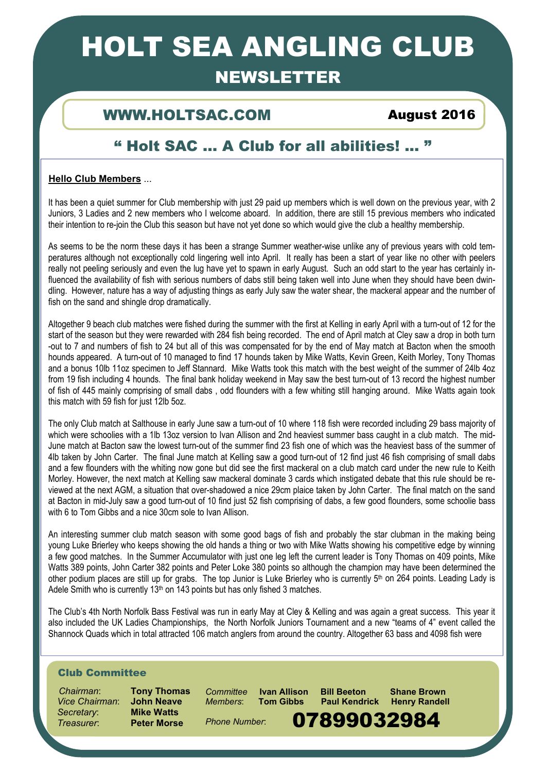# HOLT SEA ANGLING CLUB

# NEWSLETTER

## WWW.HOLTSAC.COM August 2016

# " Holt SAC … A Club for all abilities! ... "

### **Hello Club Members** ...

It has been a quiet summer for Club membership with just 29 paid up members which is well down on the previous year, with 2 Juniors, 3 Ladies and 2 new members who I welcome aboard. In addition, there are still 15 previous members who indicated their intention to re-join the Club this season but have not yet done so which would give the club a healthy membership.

As seems to be the norm these days it has been a strange Summer weather-wise unlike any of previous years with cold temperatures although not exceptionally cold lingering well into April. It really has been a start of year like no other with peelers really not peeling seriously and even the lug have yet to spawn in early August. Such an odd start to the year has certainly influenced the availability of fish with serious numbers of dabs still being taken well into June when they should have been dwindling. However, nature has a way of adjusting things as early July saw the water shear, the mackeral appear and the number of fish on the sand and shingle drop dramatically.

Altogether 9 beach club matches were fished during the summer with the first at Kelling in early April with a turn-out of 12 for the start of the season but they were rewarded with 284 fish being recorded. The end of April match at Cley saw a drop in both turn -out to 7 and numbers of fish to 24 but all of this was compensated for by the end of May match at Bacton when the smooth hounds appeared. A turn-out of 10 managed to find 17 hounds taken by Mike Watts, Kevin Green, Keith Morley, Tony Thomas and a bonus 10lb 11oz specimen to Jeff Stannard. Mike Watts took this match with the best weight of the summer of 24lb 4oz from 19 fish including 4 hounds. The final bank holiday weekend in May saw the best turn-out of 13 record the highest number of fish of 445 mainly comprising of small dabs , odd flounders with a few whiting still hanging around. Mike Watts again took this match with 59 fish for just 12lb 5oz.

The only Club match at Salthouse in early June saw a turn-out of 10 where 118 fish were recorded including 29 bass majority of which were schoolies with a 1lb 13oz version to Ivan Allison and 2nd heaviest summer bass caught in a club match. The mid-June match at Bacton saw the lowest turn-out of the summer find 23 fish one of which was the heaviest bass of the summer of 4lb taken by John Carter. The final June match at Kelling saw a good turn-out of 12 find just 46 fish comprising of small dabs and a few flounders with the whiting now gone but did see the first mackeral on a club match card under the new rule to Keith Morley. However, the next match at Kelling saw mackeral dominate 3 cards which instigated debate that this rule should be reviewed at the next AGM, a situation that over-shadowed a nice 29cm plaice taken by John Carter. The final match on the sand at Bacton in mid-July saw a good turn-out of 10 find just 52 fish comprising of dabs, a few good flounders, some schoolie bass with 6 to Tom Gibbs and a nice 30cm sole to Ivan Allison.

An interesting summer club match season with some good bags of fish and probably the star clubman in the making being young Luke Brierley who keeps showing the old hands a thing or two with Mike Watts showing his competitive edge by winning a few good matches. In the Summer Accumulator with just one leg left the current leader is Tony Thomas on 409 points, Mike Watts 389 points, John Carter 382 points and Peter Loke 380 points so although the champion may have been determined the other podium places are still up for grabs. The top Junior is Luke Brierley who is currently  $5<sup>th</sup>$  on 264 points. Leading Lady is Adele Smith who is currently 13<sup>th</sup> on 143 points but has only fished 3 matches.

The Club's 4th North Norfolk Bass Festival was run in early May at Cley & Kelling and was again a great success. This year it also included the UK Ladies Championships, the North Norfolk Juniors Tournament and a new "teams of 4" event called the Shannock Quads which in total attracted 106 match anglers from around the country. Altogether 63 bass and 4098 fish were

### Club Committee

 *Chairman*: **Tony Thomas** *Vice Chairman*: **John Neave** *Secretary*: **Mike Watts** Treasurer: **Preter Morse** Phone Number: **07899032984** 

*Members*: **Tom Gibbs Paul Kendrick Henry Randell** 

1

*Phone Number*:

*Committee* **Ivan Allison Bill Beeton Shane Brown**